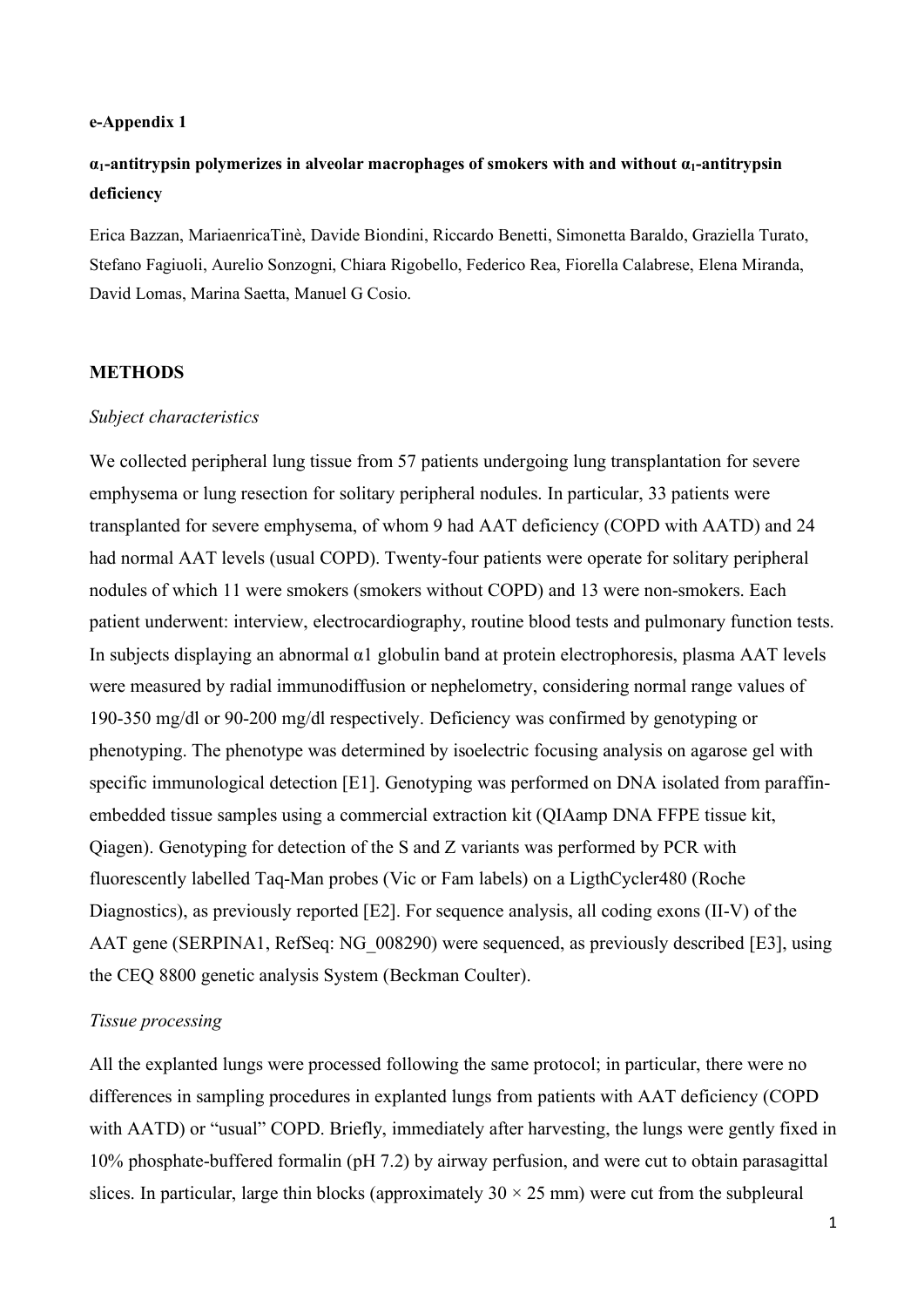#### **e-Appendix 1**

# **α1-antitrypsin polymerizes in alveolar macrophages of smokers with and without α1-antitrypsin deficiency**

Erica Bazzan, MariaenricaTinè, Davide Biondini, Riccardo Benetti, Simonetta Baraldo, Graziella Turato, Stefano Fagiuoli, Aurelio Sonzogni, Chiara Rigobello, Federico Rea, Fiorella Calabrese, Elena Miranda, David Lomas, Marina Saetta, Manuel G Cosio.

#### **METHODS**

#### *Subject characteristics*

We collected peripheral lung tissue from 57 patients undergoing lung transplantation for severe emphysema or lung resection for solitary peripheral nodules. In particular, 33 patients were transplanted for severe emphysema, of whom 9 had AAT deficiency (COPD with AATD) and 24 had normal AAT levels (usual COPD). Twenty-four patients were operate for solitary peripheral nodules of which 11 were smokers (smokers without COPD) and 13 were non-smokers. Each patient underwent: interview, electrocardiography, routine blood tests and pulmonary function tests. In subjects displaying an abnormal α1 globulin band at protein electrophoresis, plasma AAT levels were measured by radial immunodiffusion or nephelometry, considering normal range values of 190-350 mg/dl or 90-200 mg/dl respectively. Deficiency was confirmed by genotyping or phenotyping. The phenotype was determined by isoelectric focusing analysis on agarose gel with specific immunological detection [E1]. Genotyping was performed on DNA isolated from paraffinembedded tissue samples using a commercial extraction kit (QIAamp DNA FFPE tissue kit, Qiagen). Genotyping for detection of the S and Z variants was performed by PCR with fluorescently labelled Taq-Man probes (Vic or Fam labels) on a LigthCycler480 (Roche Diagnostics), as previously reported [E2]. For sequence analysis, all coding exons (II-V) of the AAT gene (SERPINA1, RefSeq: NG\_008290) were sequenced, as previously described [E3], using the CEQ 8800 genetic analysis System (Beckman Coulter).

## *Tissue processing*

All the explanted lungs were processed following the same protocol; in particular, there were no differences in sampling procedures in explanted lungs from patients with AAT deficiency (COPD with AATD) or "usual" COPD. Briefly, immediately after harvesting, the lungs were gently fixed in 10% phosphate-buffered formalin (pH 7.2) by airway perfusion, and were cut to obtain parasagittal slices. In particular, large thin blocks (approximately  $30 \times 25$  mm) were cut from the subpleural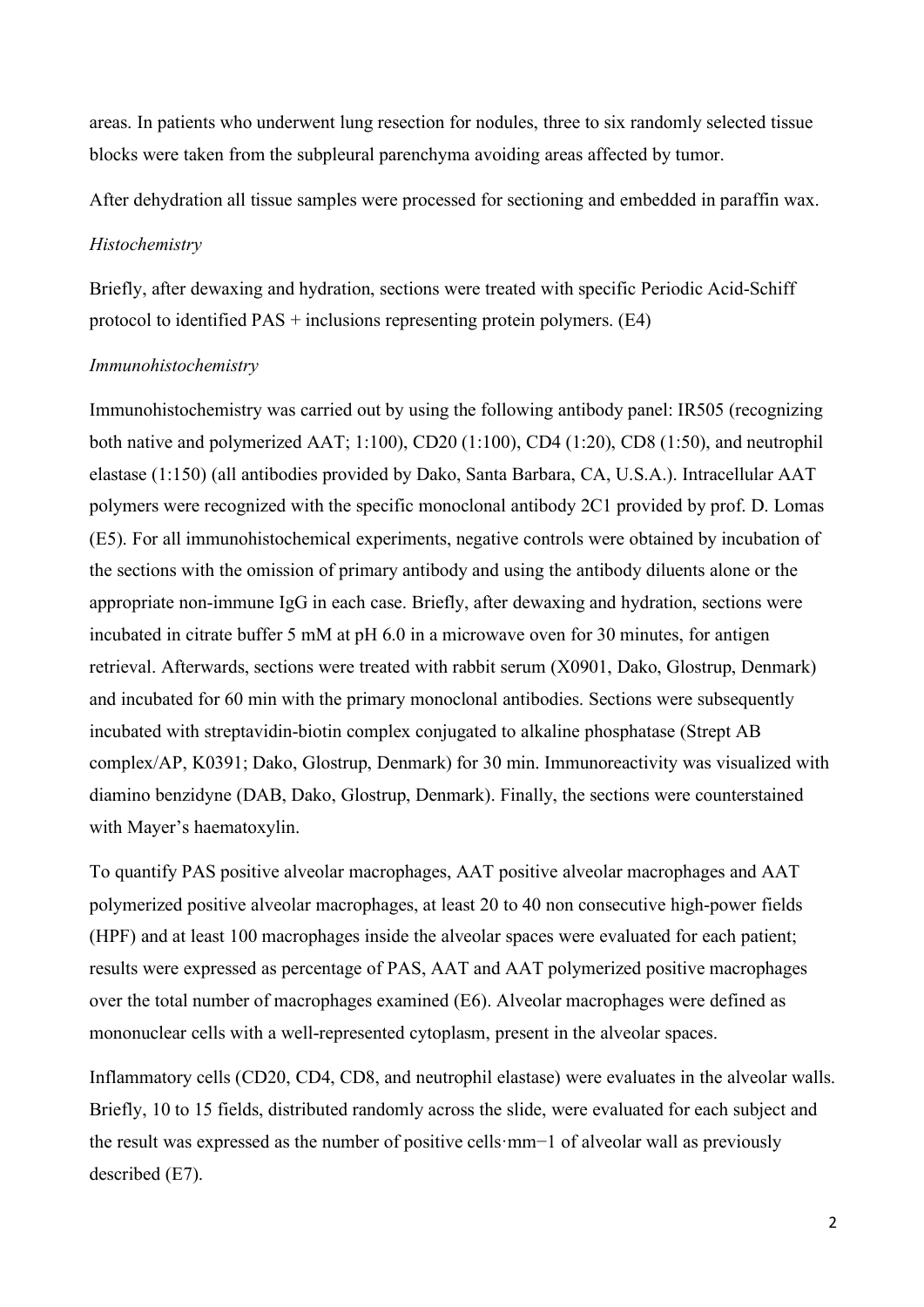areas. In patients who underwent lung resection for nodules, three to six randomly selected tissue blocks were taken from the subpleural parenchyma avoiding areas affected by tumor.

After dehydration all tissue samples were processed for sectioning and embedded in paraffin wax.

#### *Histochemistry*

Briefly, after dewaxing and hydration, sections were treated with specific Periodic Acid-Schiff protocol to identified PAS + inclusions representing protein polymers. (E4)

# *Immunohistochemistry*

Immunohistochemistry was carried out by using the following antibody panel: IR505 (recognizing both native and polymerized AAT; 1:100), CD20 (1:100), CD4 (1:20), CD8 (1:50), and neutrophil elastase (1:150) (all antibodies provided by Dako, Santa Barbara, CA, U.S.A.). Intracellular AAT polymers were recognized with the specific monoclonal antibody 2C1 provided by prof. D. Lomas (E5). For all immunohistochemical experiments, negative controls were obtained by incubation of the sections with the omission of primary antibody and using the antibody diluents alone or the appropriate non-immune IgG in each case. Briefly, after dewaxing and hydration, sections were incubated in citrate buffer 5 mM at pH 6.0 in a microwave oven for 30 minutes, for antigen retrieval. Afterwards, sections were treated with rabbit serum (X0901, Dako, Glostrup, Denmark) and incubated for 60 min with the primary monoclonal antibodies. Sections were subsequently incubated with streptavidin-biotin complex conjugated to alkaline phosphatase (Strept AB complex/AP, K0391; Dako, Glostrup, Denmark) for 30 min. Immunoreactivity was visualized with diamino benzidyne (DAB, Dako, Glostrup, Denmark). Finally, the sections were counterstained with Mayer's haematoxylin.

To quantify PAS positive alveolar macrophages, AAT positive alveolar macrophages and AAT polymerized positive alveolar macrophages, at least 20 to 40 non consecutive high-power fields (HPF) and at least 100 macrophages inside the alveolar spaces were evaluated for each patient; results were expressed as percentage of PAS, AAT and AAT polymerized positive macrophages over the total number of macrophages examined (E6). Alveolar macrophages were defined as mononuclear cells with a well-represented cytoplasm, present in the alveolar spaces.

Inflammatory cells (CD20, CD4, CD8, and neutrophil elastase) were evaluates in the alveolar walls. Briefly, 10 to 15 fields, distributed randomly across the slide, were evaluated for each subject and the result was expressed as the number of positive cells·mm−1 of alveolar wall as previously described (E7).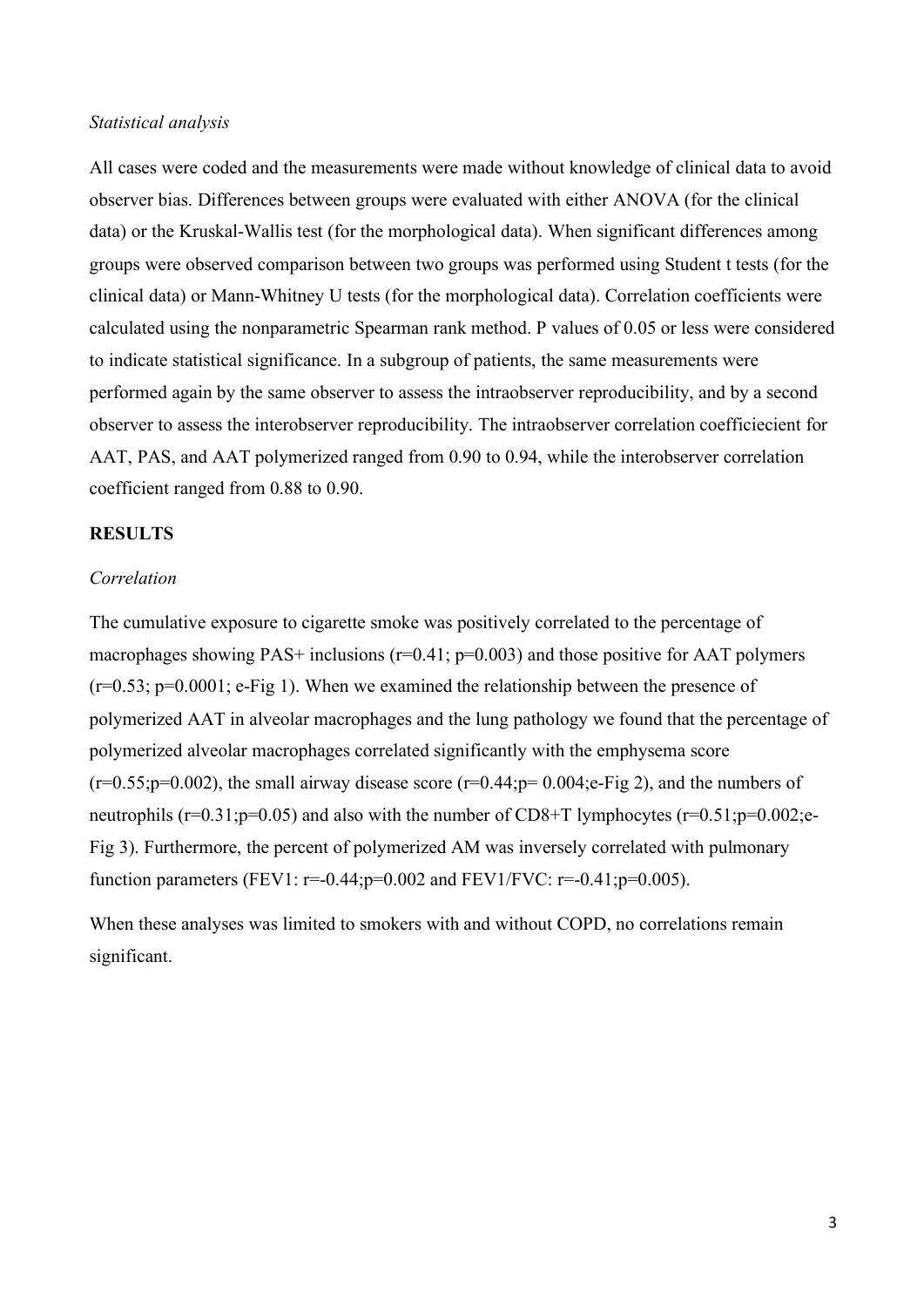# *Statistical analysis*

All cases were coded and the measurements were made without knowledge of clinical data to avoid observer bias. Differences between groups were evaluated with either ANOVA (for the clinical data) or the Kruskal-Wallis test (for the morphological data). When significant differences among groups were observed comparison between two groups was performed using Student t tests (for the clinical data) or Mann-Whitney U tests (for the morphological data). Correlation coefficients were calculated using the nonparametric Spearman rank method. P values of 0.05 or less were considered to indicate statistical significance. In a subgroup of patients, the same measurements were performed again by the same observer to assess the intraobserver reproducibility, and by a second observer to assess the interobserver reproducibility. The intraobserver correlation coefficiecient for AAT, PAS, and AAT polymerized ranged from 0.90 to 0.94, while the interobserver correlation coefficient ranged from 0.88 to 0.90.

# **RESULTS**

## *Correlation*

The cumulative exposure to cigarette smoke was positively correlated to the percentage of macrophages showing PAS+ inclusions  $(r=0.41; p=0.003)$  and those positive for AAT polymers  $(r=0.53; p=0.0001; e\text{-Fig 1})$ . When we examined the relationship between the presence of polymerized AAT in alveolar macrophages and the lung pathology we found that the percentage of polymerized alveolar macrophages correlated significantly with the emphysema score  $(r=0.55;p=0.002)$ , the small airway disease score  $(r=0.44;p=0.004;e\text{-Fig 2})$ , and the numbers of neutrophils ( $r=0.31$ ; $p=0.05$ ) and also with the number of CD8+T lymphocytes ( $r=0.51$ ; $p=0.002$ ;e-Fig 3). Furthermore, the percent of polymerized AM was inversely correlated with pulmonary function parameters (FEV1:  $r=-0.44$ ;  $p=0.002$  and FEV1/FVC:  $r=-0.41$ ;  $p=0.005$ ).

When these analyses was limited to smokers with and without COPD, no correlations remain significant.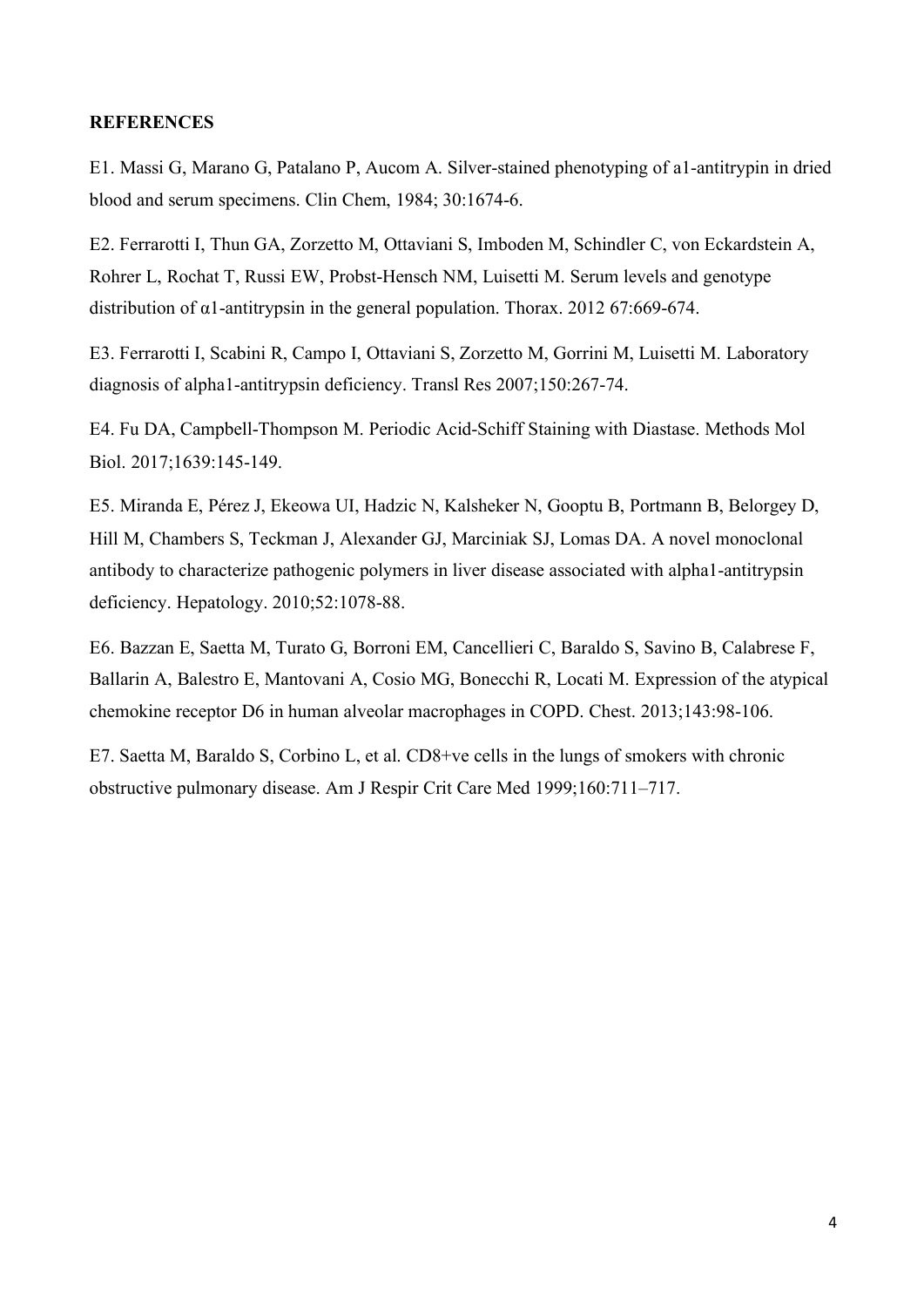# **REFERENCES**

E1. Massi G, Marano G, Patalano P, Aucom A. Silver-stained phenotyping of a1-antitrypin in dried blood and serum specimens. Clin Chem, 1984; 30:1674-6.

E2. Ferrarotti I, Thun GA, Zorzetto M, Ottaviani S, Imboden M, Schindler C, von Eckardstein A, Rohrer L, Rochat T, Russi EW, Probst-Hensch NM, Luisetti M. Serum levels and genotype distribution of α1-antitrypsin in the general population. Thorax. 2012 67:669-674.

E3. Ferrarotti I, Scabini R, Campo I, Ottaviani S, Zorzetto M, Gorrini M, Luisetti M. Laboratory diagnosis of alpha1-antitrypsin deficiency. Transl Res 2007;150:267-74.

E4. Fu DA, Campbell-Thompson M. Periodic Acid-Schiff Staining with Diastase. Methods Mol Biol. 2017;1639:145-149.

E5. Miranda E, Pérez J, Ekeowa UI, Hadzic N, Kalsheker N, Gooptu B, Portmann B, Belorgey D, Hill M, Chambers S, Teckman J, Alexander GJ, Marciniak SJ, Lomas DA. A novel monoclonal antibody to characterize pathogenic polymers in liver disease associated with alpha1-antitrypsin deficiency. Hepatology. 2010;52:1078-88.

E6. Bazzan E, Saetta M, Turato G, Borroni EM, Cancellieri C, Baraldo S, Savino B, Calabrese F, Ballarin A, Balestro E, Mantovani A, Cosio MG, Bonecchi R, Locati M. Expression of the atypical chemokine receptor D6 in human alveolar macrophages in COPD. Chest. 2013;143:98-106.

E7. Saetta M, Baraldo S, Corbino L, et al. CD8+ve cells in the lungs of smokers with chronic obstructive pulmonary disease. Am J Respir Crit Care Med 1999;160:711–717.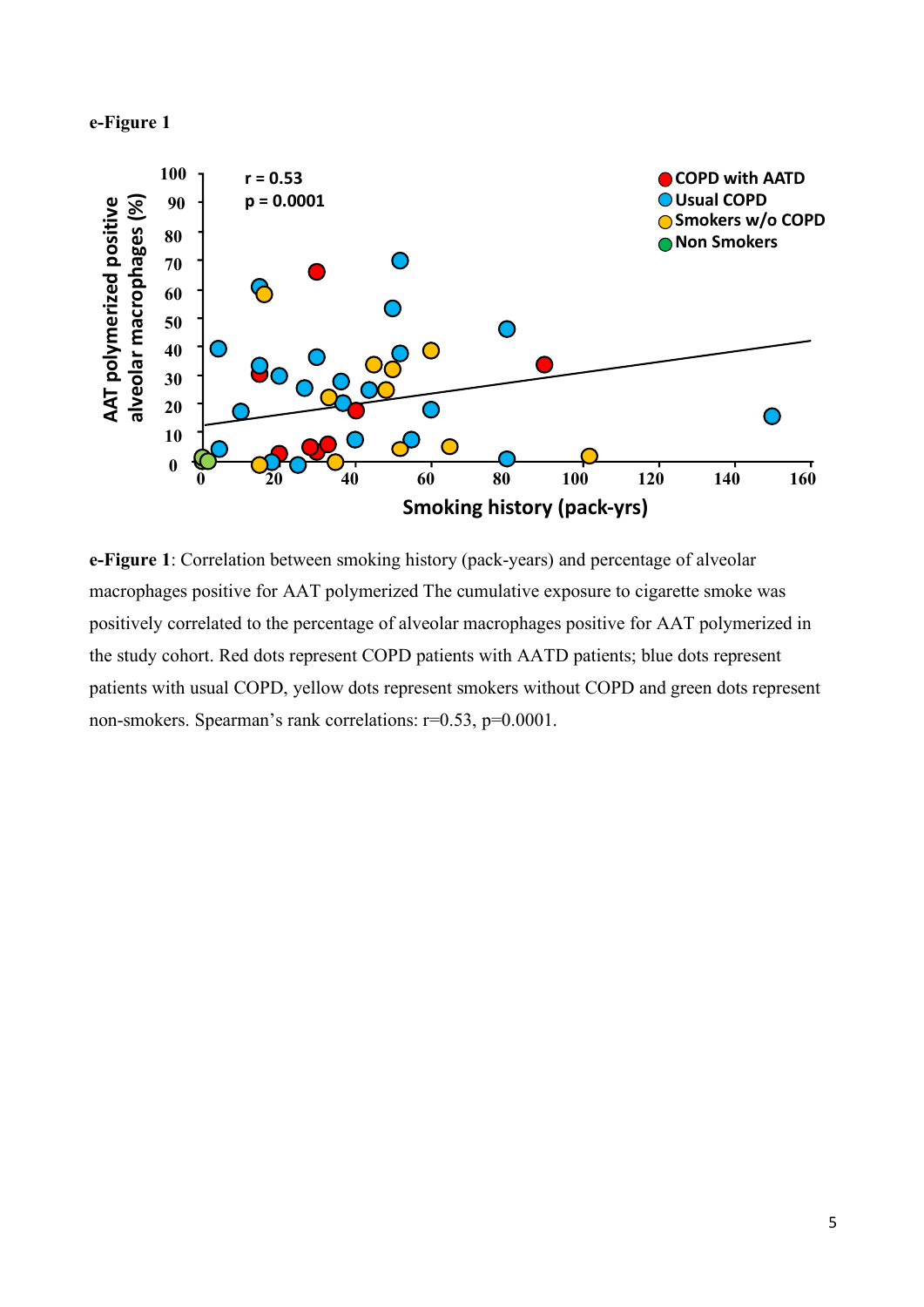# **e-Figure 1**



**e-Figure 1**: Correlation between smoking history (pack-years) and percentage of alveolar macrophages positive for AAT polymerized The cumulative exposure to cigarette smoke was positively correlated to the percentage of alveolar macrophages positive for AAT polymerized in the study cohort. Red dots represent COPD patients with AATD patients; blue dots represent patients with usual COPD, yellow dots represent smokers without COPD and green dots represent non-smokers. Spearman's rank correlations: r=0.53, p=0.0001.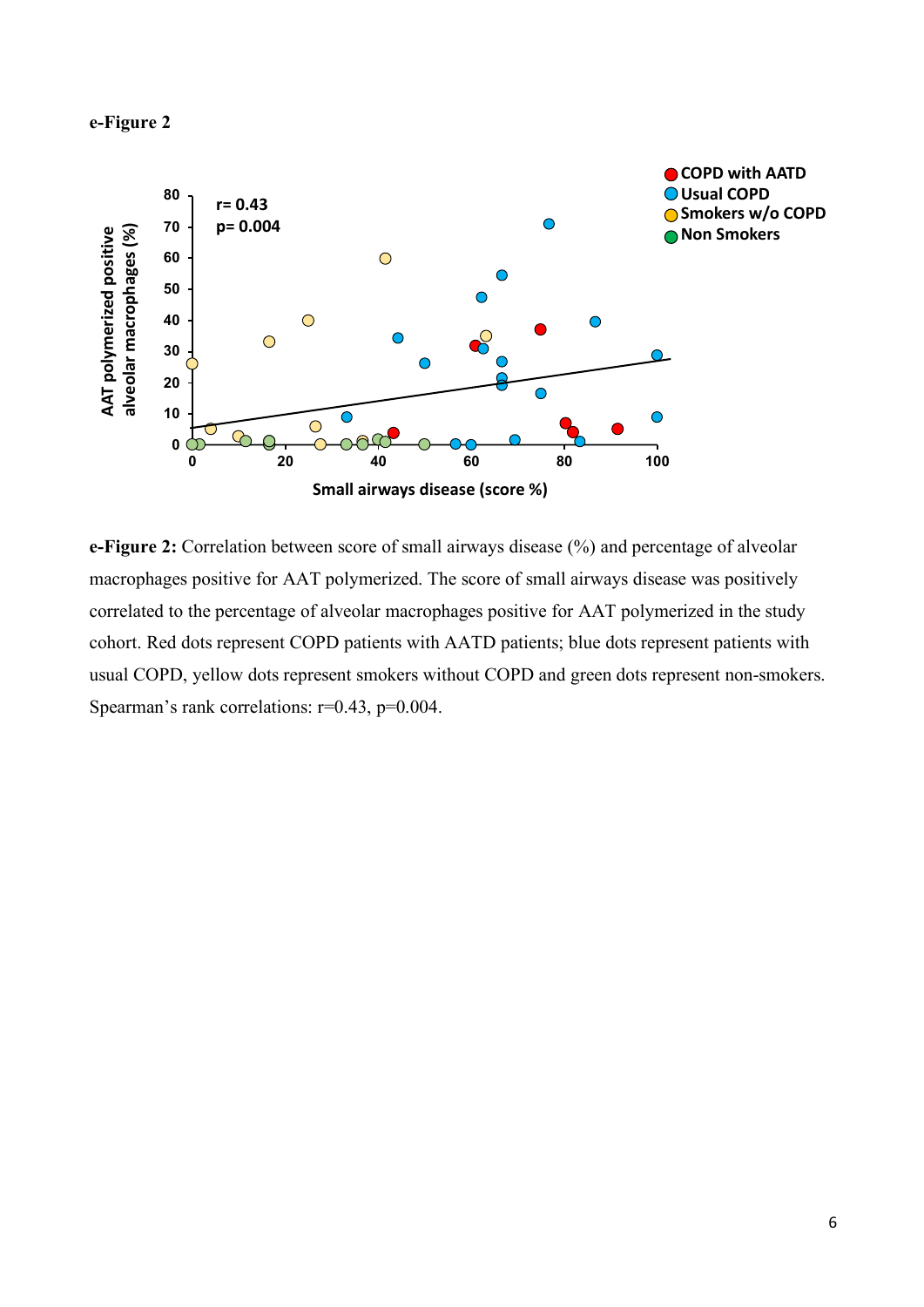



**e-Figure 2:** Correlation between score of small airways disease (%) and percentage of alveolar macrophages positive for AAT polymerized. The score of small airways disease was positively correlated to the percentage of alveolar macrophages positive for AAT polymerized in the study cohort. Red dots represent COPD patients with AATD patients; blue dots represent patients with usual COPD, yellow dots represent smokers without COPD and green dots represent non-smokers. Spearman's rank correlations: r=0.43, p=0.004.